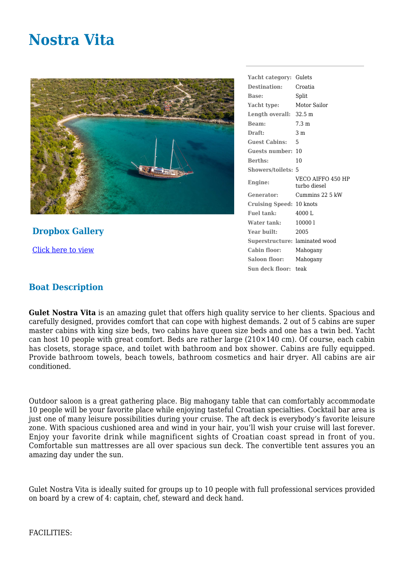## **Nostra Vita**



**Dropbox Gallery** [Click here to view](https://www.dropbox.com/sh/cpyibjg3i2ln3ch/AADidE6R0H_mrMdu7f43-NAga?dl=0)

**Yacht category:** Gulets **Destination:** Croatia **Base:** Split **Yacht type:** Motor Sailor **Length overall:** 32.5 m **Beam:** 7.3 m **Draft:** 3 m **Guest Cabins:** 5 **Guests number:** 10 **Berths:** 10 **Showers/toilets:** 5 **Engine:** VECO AIFFO 450 HP turbo diesel **Generator:** Cummins 22 5 kW **Cruising Speed:** 10 knots Fuel tank: 4000 L **Water tank:** 10000 l **Year built:** 2005 **Superstructure:** laminated wood **Cabin floor:** Mahogany **Saloon floor:** Mahogany **Sun deck floor:** teak

## **Boat Description**

**Gulet Nostra Vita** is an amazing gulet that offers high quality service to her clients. Spacious and carefully designed, provides comfort that can cope with highest demands. 2 out of 5 cabins are super master cabins with king size beds, two cabins have queen size beds and one has a twin bed. Yacht can host 10 people with great comfort. Beds are rather large (210×140 cm). Of course, each cabin has closets, storage space, and toilet with bathroom and box shower. Cabins are fully equipped. Provide bathroom towels, beach towels, bathroom cosmetics and hair dryer. All cabins are air conditioned.

Outdoor saloon is a great gathering place. Big mahogany table that can comfortably accommodate 10 people will be your favorite place while enjoying tasteful Croatian specialties. Cocktail bar area is just one of many leisure possibilities during your cruise. The aft deck is everybody's favorite leisure zone. With spacious cushioned area and wind in your hair, you'll wish your cruise will last forever. Enjoy your favorite drink while magnificent sights of Croatian coast spread in front of you. Comfortable sun mattresses are all over spacious sun deck. The convertible tent assures you an amazing day under the sun.

Gulet Nostra Vita is ideally suited for groups up to 10 people with full professional services provided on board by a crew of 4: captain, chef, steward and deck hand.